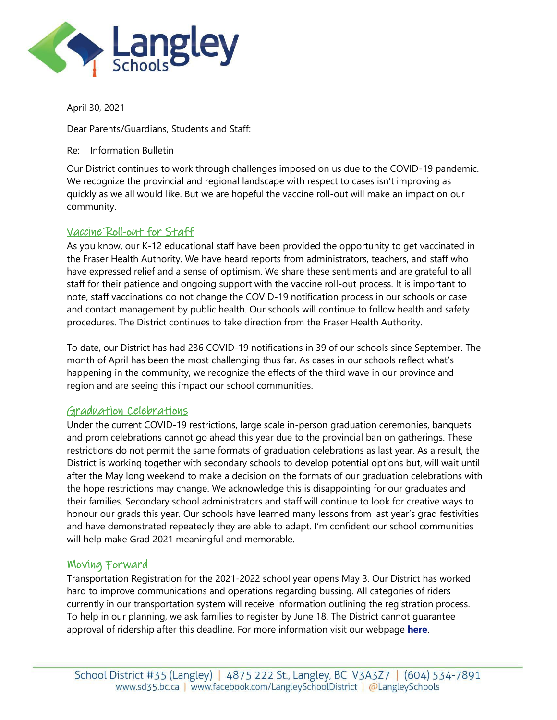

April 30, 2021

Dear Parents/Guardians, Students and Staff:

#### Re: Information Bulletin

Our District continues to work through challenges imposed on us due to the COVID-19 pandemic. We recognize the provincial and regional landscape with respect to cases isn't improving as quickly as we all would like. But we are hopeful the vaccine roll-out will make an impact on our community.

# Vaccine Roll-out for Staff

As you know, our K-12 educational staff have been provided the opportunity to get vaccinated in the Fraser Health Authority. We have heard reports from administrators, teachers, and staff who have expressed relief and a sense of optimism. We share these sentiments and are grateful to all staff for their patience and ongoing support with the vaccine roll-out process. It is important to note, staff vaccinations do not change the COVID-19 notification process in our schools or case and contact management by public health. Our schools will continue to follow health and safety procedures. The District continues to take direction from the Fraser Health Authority.

To date, our District has had 236 COVID-19 notifications in 39 of our schools since September. The month of April has been the most challenging thus far. As cases in our schools reflect what's happening in the community, we recognize the effects of the third wave in our province and region and are seeing this impact our school communities.

# Graduation Celebrations

Under the current COVID-19 restrictions, large scale in-person graduation ceremonies, banquets and prom celebrations cannot go ahead this year due to the provincial ban on gatherings. These restrictions do not permit the same formats of graduation celebrations as last year. As a result, the District is working together with secondary schools to develop potential options but, will wait until after the May long weekend to make a decision on the formats of our graduation celebrations with the hope restrictions may change. We acknowledge this is disappointing for our graduates and their families. Secondary school administrators and staff will continue to look for creative ways to honour our grads this year. Our schools have learned many lessons from last year's grad festivities and have demonstrated repeatedly they are able to adapt. I'm confident our school communities will help make Grad 2021 meaningful and memorable.

# Moving Forward

Transportation Registration for the 2021-2022 school year opens May 3. Our District has worked hard to improve communications and operations regarding bussing. All categories of riders currently in our transportation system will receive information outlining the registration process. To help in our planning, we ask families to register by June 18. The District cannot guarantee approval of ridership after this deadline. For more information visit our webpage **[here](https://www.sd35.bc.ca/schools/transportation/transportation-registration/)**.